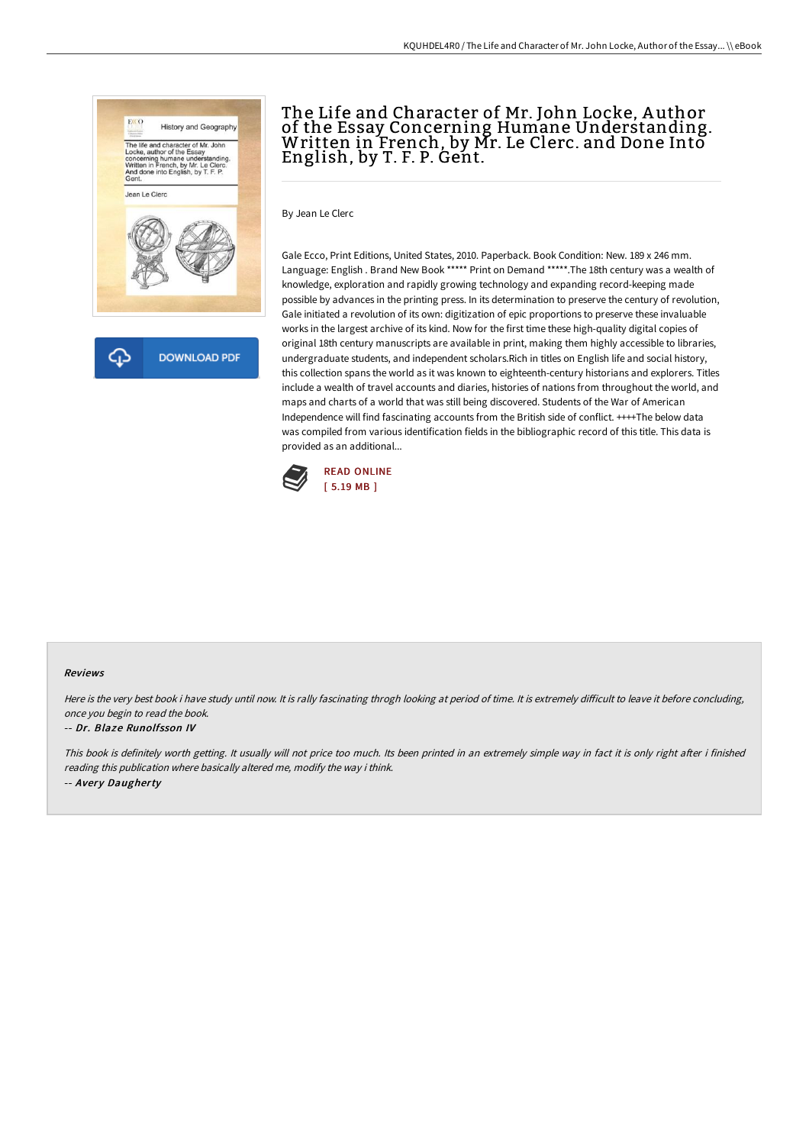

क़ **DOWNLOAD PDF** 

# The Life and Character of Mr. John Locke, A uthor of the Essay Concerning Humane Understanding. Written in French, by Mr. Le Clerc. and Done Into English, by T. F. P. Gent.

By Jean Le Clerc

Gale Ecco, Print Editions, United States, 2010. Paperback. Book Condition: New. 189 x 246 mm. Language: English . Brand New Book \*\*\*\*\* Print on Demand \*\*\*\*\*.The 18th century was a wealth of knowledge, exploration and rapidly growing technology and expanding record-keeping made possible by advances in the printing press. In its determination to preserve the century of revolution, Gale initiated a revolution of its own: digitization of epic proportions to preserve these invaluable works in the largest archive of its kind. Now for the first time these high-quality digital copies of original 18th century manuscripts are available in print, making them highly accessible to libraries, undergraduate students, and independent scholars.Rich in titles on English life and social history, this collection spans the world as it was known to eighteenth-century historians and explorers. Titles include a wealth of travel accounts and diaries, histories of nations from throughout the world, and maps and charts of a world that was still being discovered. Students of the War of American Independence will find fascinating accounts from the British side of conflict. ++++The below data was compiled from various identification fields in the bibliographic record of this title. This data is provided as an additional...



#### Reviews

Here is the very best book i have study until now. It is rally fascinating throgh looking at period of time. It is extremely difficult to leave it before concluding, once you begin to read the book.

#### -- Dr. Blaze Runolfsson IV

This book is definitely worth getting. It usually will not price too much. Its been printed in an extremely simple way in fact it is only right after i finished reading this publication where basically altered me, modify the way i think. -- Avery Daugherty